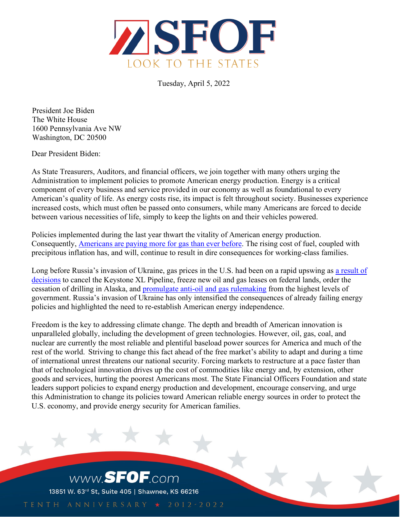

Tuesday, April 5, 2022

 President Joe Biden The White House 1600 Pennsylvania Ave NW Washington, DC 20500

Dear President Biden:

As State Treasurers, Auditors, and financial officers, we join together with many others urging the Administration to implement policies to promote American energy production. Energy is a critical component of every business and service provided in our economy as well as foundational to every American's quality of life. As energy costs rise, its impact is felt throughout society. Businesses experience increased costs, which must often be passed onto consumers, while many Americans are forced to decide between various necessities of life, simply to keep the lights on and their vehicles powered.

Policies implemented during the last year thwart the vitality of American energy production. Consequently, **Americans are paying more for gas than ever before**. The rising cost of fuel, coupled with precipitous inflation has, and will, continue to result in dire consequences for working-class families.

Long before Russia's invasion of Ukraine, gas prices in the U.S. had been on a rapid upswing as [a result of](https://www.foxnews.com/politics/white-house-blames-russia-record-high-gas-prices) [decisions](https://www.foxnews.com/politics/white-house-blames-russia-record-high-gas-prices) to cancel the Keystone XL Pipeline, freeze new oil and gas leases on federal lands, order the cessation of drilling in Alaska, and [promulgate anti-oil and gas rulemaking f](https://www.foxbusiness.com/politics/department-labor-proposes-rule-political-directives-retirement-savings)rom the highest levels of government. Russia's invasion of Ukraine has only intensified the consequences of already failing energy policies and highlighted the need to re-establish American energy independence.

Freedom is the key to addressing climate change. The depth and breadth of American innovation is unparalleled globally, including the development of green technologies. However, oil, gas, coal, and nuclear are currently the most reliable and plentiful baseload power sources for America and much of the rest of the world. Striving to change this fact ahead of the free market's ability to adapt and during a time of international unrest threatens our national security. Forcing markets to restructure at a pace faster than that of technological innovation drives up the cost of commodities like energy and, by extension, other goods and services, hurting the poorest Americans most. The State Financial Officers Foundation and state leaders support policies to expand energy production and development, encourage conserving, and urge this Administration to change its policies toward American reliable energy sources in order to protect the U.S. economy, and provide energy security for American families.

www.SFOF.com 13851 W. 63rd St, Suite 405 | Shawnee, KS 66216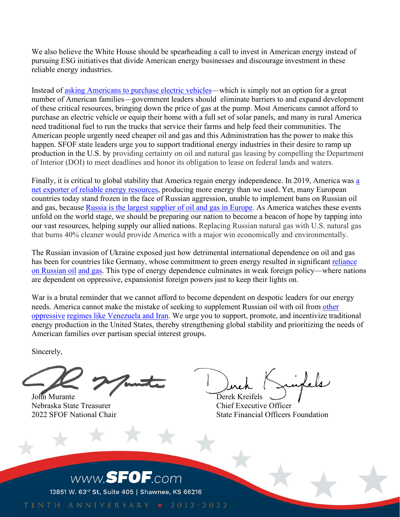We also believe the White House should be spearheading a call to invest in American energy instead of pursuing ESG initiatives that divide American energy businesses and discourage investment in these reliable energy industries.

Instead of [asking Americans to purchase electric vehicles—](https://nypost.com/2021/11/29/buttigieg-slammed-for-urging-electric-car-buying-to-counter-gas-prices/)which is simply not an option for a great number of Ameri[can families—government leaders should](https://nypost.com/2021/11/29/buttigieg-slammed-for-urging-electric-car-buying-to-counter-gas-prices/) eliminate barriers to and expand development of these critical resources, bringing down the price of gas at the pump. Most Americans cannot afford to purchase an electric vehicle or equip their home with a full set of solar panels, and many in rural America need traditional fuel to run the trucks that service their farms and help feed their communities. The American people urgently need cheaper oil and gas and this Administration has the power to make this happen. SFOF state leaders urge you to support traditional energy industries in their desire to ramp up production in the U.S. by providing certainty on oil and natural gas leasing by compelling the Department of Interior (DOI) to meet deadlines and honor its obligation to lease on federal lands and waters.

Finally, it is critical to global stability that America regain energy independence. In 2019, America was [a](https://www.instituteforenergyresearch.org/fossil-fuels/gas-and-oil/the-united-states-was-energy-independent-in-2019-for-the-first-time-since-1957/)  [net exporter of reliable energy r](https://www.instituteforenergyresearch.org/fossil-fuels/gas-and-oil/the-united-states-was-energy-independent-in-2019-for-the-first-time-since-1957/)esources, producing more energy than we used. Yet, many European countries today stand frozen in the face of Russian aggression, unable to implement bans on Russian oil and gas, because Russia [is the largest supplier of oil and gas in Europe.](https://www.shorenewsnetwork.com/2022/02/28/ukraine-crisis-proves-the-need-for-domestic-fossil-fuel-production-industry-groups-say/) As America watches these events unfold on the world stage, we should be preparing our nation to become a beacon of hope by tapping into our vast resources, helping supply our allied nations. Replacing Russian natural gas with U.S. natural gas that burns 40% cleaner would provide America with a major win economically and environmentally.

The Russian invasion of Ukraine exposed just how detrimental international dependence on oil and gas has been for countries like Germany, whose commitment to green energy resulted in significant [reliance](https://www.instituteforenergyresearch.org/international-issues/germanys-dependence-on-fossil-fuels-and-russian-gas/) [on Russian oil](https://www.instituteforenergyresearch.org/international-issues/germanys-dependence-on-fossil-fuels-and-russian-gas/) [and gas.](https://www.instituteforenergyresearch.org/international-issues/germanys-dependence-on-fossil-fuels-and-russian-gas/) This type of energy dependence culminates in weak foreign policy—where nations are dependent on oppressive, expansionist foreign powers just to keep their lights on.

War is a brutal reminder that we cannot afford to become dependent on despotic leaders for our energy needs. America cannot make the mistake of seeking to supplement Russian oil with oil from [other](https://www.cnn.com/2022/03/08/politics/joe-biden-saudi-arabia-venezuela-iran-russia-oil/index.html)  [oppressive](https://www.cnn.com/2022/03/08/politics/joe-biden-saudi-arabia-venezuela-iran-russia-oil/index.html) [regimes like Venezuela and Iran.](https://www.cnn.com/2022/03/08/politics/joe-biden-saudi-arabia-venezuela-iran-russia-oil/index.html) We urge you to support, promote, and incentivize traditional energy production in the United States, thereby strengthening global stability and prioritizing the needs of American families over partisan special interest groups.

Sincerely,

John Murante Derek Kreifels Nebraska State Treasurer Chief Executive Officer

2022 SFOF National Chair **State Financial Officers Foundation** 



TENTH ANNIVERSARY \* 2012-2022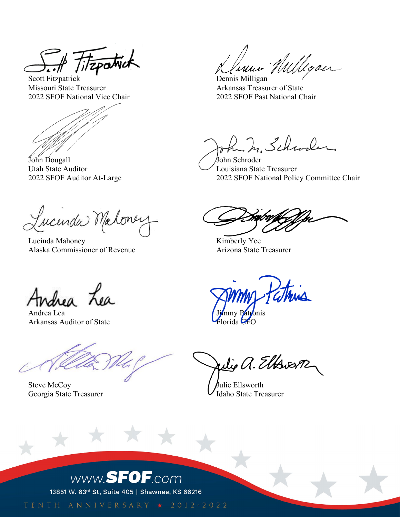Titapatrick

Scott Fitzpatrick Dennis Milligan Missouri State Treasurer Arkansas Treasurer of State 2022 SFOF National Vice Chair 2022 SFOF Past National Chair

John Dougall John Schroder Utah State Auditor Louisiana State Treasurer

Lucenda Mahoney

Lucinda Mahoney Kimberly Yee Alaska Commissioner of Revenue **Arizona State Treasurer** Arizona State Treasurer

Jenne Willegan

ha ha Schwaler

2022 SFOF Auditor At-Large 2022 SFOF National Policy Committee Chair

Asea Lea

Andrea Lea Arkansas Auditor of State

Steve McCoy<br>Georgia State Treasurer<br>Jaho State Treasurer Georgia State Treasurer

73

athing

Julie a. Elbrern

## www.SFOF.com

13851 W. 63rd St, Suite 405 | Shawnee, KS 66216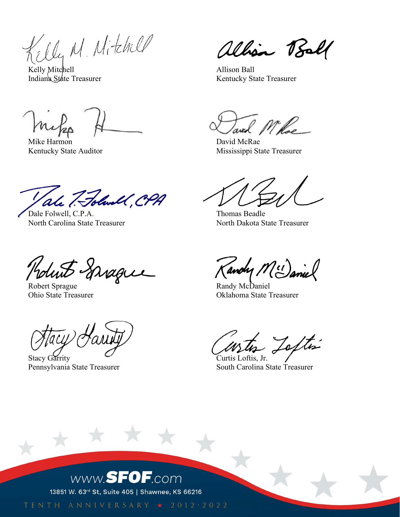Killy M. Mitchell

Kelly Mitchell **Allison Ball** 

Mike Harmon David McRae

ale 7. Folwall, CH.

Dale Folwell, C.P.A. Thomas Beadle North Carolina State Treasurer North Dakota State Treasurer

duit Sprague

Robert Sprague Randy McDaniel

Stacy Garrity Curtis Loftis, Jr.

大大

alhão Ball

Indiana State Treasurer **Indiana** State Treasurer Kentucky State Treasurer

Kentucky State Auditor Mississippi State Treasurer

andy M (1) anie

Ohio State Treasurer Oklahoma State Treasurer

Jostin

Pennsylvania State Treasurer South Carolina State Treasurer

## www.SFOF.com

13851 W. 63rd St, Suite 405 | Shawnee, KS 66216